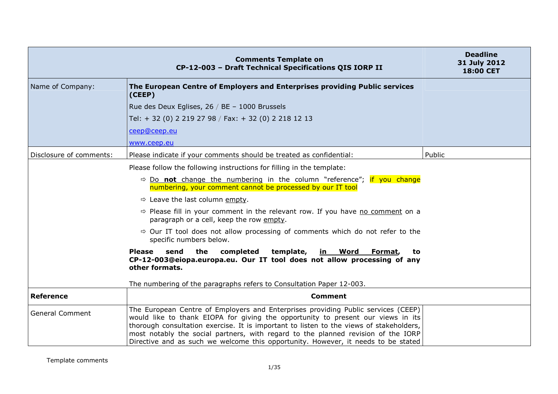|                         | <b>Comments Template on</b><br>CP-12-003 - Draft Technical Specifications QIS IORP II                                                                                                                                                                                                                                                                                                                                                      | <b>Deadline</b><br>31 July 2012<br><b>18:00 CET</b> |
|-------------------------|--------------------------------------------------------------------------------------------------------------------------------------------------------------------------------------------------------------------------------------------------------------------------------------------------------------------------------------------------------------------------------------------------------------------------------------------|-----------------------------------------------------|
| Name of Company:        | The European Centre of Employers and Enterprises providing Public services<br>(CEEP)                                                                                                                                                                                                                                                                                                                                                       |                                                     |
|                         | Rue des Deux Eglises, 26 / BE - 1000 Brussels                                                                                                                                                                                                                                                                                                                                                                                              |                                                     |
|                         | Tel: + 32 (0) 2 219 27 98 / Fax: + 32 (0) 2 218 12 13                                                                                                                                                                                                                                                                                                                                                                                      |                                                     |
|                         | ceep@ceep.eu                                                                                                                                                                                                                                                                                                                                                                                                                               |                                                     |
|                         | www.ceep.eu                                                                                                                                                                                                                                                                                                                                                                                                                                |                                                     |
| Disclosure of comments: | Please indicate if your comments should be treated as confidential:                                                                                                                                                                                                                                                                                                                                                                        | Public                                              |
|                         | Please follow the following instructions for filling in the template:                                                                                                                                                                                                                                                                                                                                                                      |                                                     |
|                         | $\Rightarrow$ Do not change the numbering in the column "reference"; if you change<br>numbering, your comment cannot be processed by our IT tool                                                                                                                                                                                                                                                                                           |                                                     |
|                         | $\Rightarrow$ Leave the last column empty.                                                                                                                                                                                                                                                                                                                                                                                                 |                                                     |
|                         | $\Rightarrow$ Please fill in your comment in the relevant row. If you have no comment on a<br>paragraph or a cell, keep the row empty.                                                                                                                                                                                                                                                                                                     |                                                     |
|                         | $\Rightarrow$ Our IT tool does not allow processing of comments which do not refer to the<br>specific numbers below.                                                                                                                                                                                                                                                                                                                       |                                                     |
|                         | the<br>completed<br>template, <b>in Word Format</b> ,<br>Please<br>send<br>to<br>CP-12-003@eiopa.europa.eu. Our IT tool does not allow processing of any<br>other formats.                                                                                                                                                                                                                                                                 |                                                     |
|                         | The numbering of the paragraphs refers to Consultation Paper 12-003.                                                                                                                                                                                                                                                                                                                                                                       |                                                     |
| <b>Reference</b>        | <b>Comment</b>                                                                                                                                                                                                                                                                                                                                                                                                                             |                                                     |
| <b>General Comment</b>  | The European Centre of Employers and Enterprises providing Public services (CEEP)<br>would like to thank EIOPA for giving the opportunity to present our views in its<br>thorough consultation exercise. It is important to listen to the views of stakeholders,<br>most notably the social partners, with regard to the planned revision of the IORP<br>Directive and as such we welcome this opportunity. However, it needs to be stated |                                                     |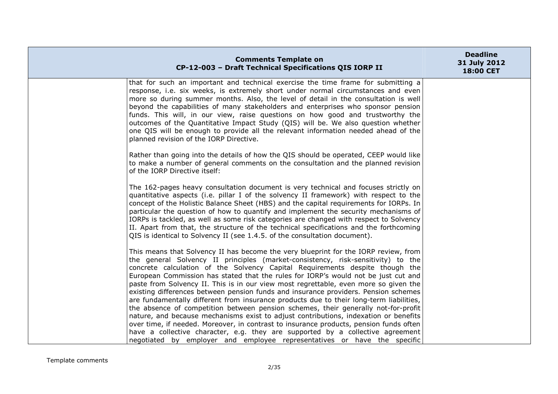| <b>Comments Template on</b><br>CP-12-003 - Draft Technical Specifications QIS IORP II                                                                                                                                                                                                                                                                                                                                                                                                                                                                                                                                                                                                                         | <b>Deadline</b><br>31 July 2012<br>18:00 CET |
|---------------------------------------------------------------------------------------------------------------------------------------------------------------------------------------------------------------------------------------------------------------------------------------------------------------------------------------------------------------------------------------------------------------------------------------------------------------------------------------------------------------------------------------------------------------------------------------------------------------------------------------------------------------------------------------------------------------|----------------------------------------------|
| that for such an important and technical exercise the time frame for submitting a<br>response, i.e. six weeks, is extremely short under normal circumstances and even<br>more so during summer months. Also, the level of detail in the consultation is well<br>beyond the capabilities of many stakeholders and enterprises who sponsor pension<br>funds. This will, in our view, raise questions on how good and trustworthy the<br>outcomes of the Quantitative Impact Study (QIS) will be. We also question whether<br>one QIS will be enough to provide all the relevant information needed ahead of the<br>planned revision of the IORP Directive.                                                      |                                              |
| Rather than going into the details of how the QIS should be operated, CEEP would like<br>to make a number of general comments on the consultation and the planned revision<br>of the IORP Directive itself:                                                                                                                                                                                                                                                                                                                                                                                                                                                                                                   |                                              |
| The 162-pages heavy consultation document is very technical and focuses strictly on<br>quantitative aspects (i.e. pillar I of the solvency II framework) with respect to the<br>concept of the Holistic Balance Sheet (HBS) and the capital requirements for IORPs. In<br>particular the question of how to quantify and implement the security mechanisms of<br>IORPs is tackled, as well as some risk categories are changed with respect to Solvency<br>II. Apart from that, the structure of the technical specifications and the forthcoming<br>QIS is identical to Solvency II (see 1.4.5. of the consultation document).                                                                               |                                              |
| This means that Solvency II has become the very blueprint for the IORP review, from<br>the general Solvency II principles (market-consistency, risk-sensitivity) to the<br>concrete calculation of the Solvency Capital Requirements despite though the<br>European Commission has stated that the rules for IORP's would not be just cut and<br>paste from Solvency II. This is in our view most regrettable, even more so given the<br>existing differences between pension funds and insurance providers. Pension schemes<br>are fundamentally different from insurance products due to their long-term liabilities,<br>the absence of competition between pension schemes, their generally not-for-profit |                                              |
| nature, and because mechanisms exist to adjust contributions, indexation or benefits<br>over time, if needed. Moreover, in contrast to insurance products, pension funds often<br>have a collective character, e.g. they are supported by a collective agreement<br>negotiated by employer and employee representatives or have the specific                                                                                                                                                                                                                                                                                                                                                                  |                                              |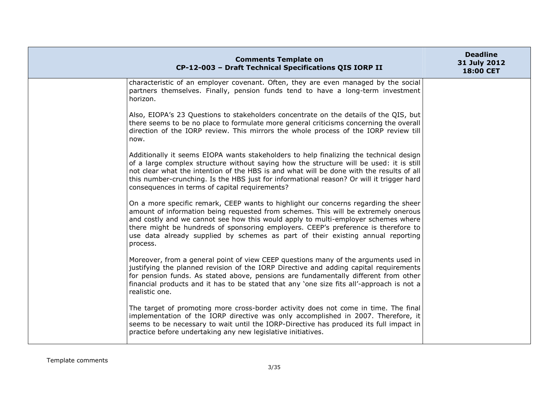| <b>Comments Template on</b><br>CP-12-003 - Draft Technical Specifications QIS IORP II                                                                                                                                                                                                                                                                                                                                                               | <b>Deadline</b><br>31 July 2012<br>18:00 CET |
|-----------------------------------------------------------------------------------------------------------------------------------------------------------------------------------------------------------------------------------------------------------------------------------------------------------------------------------------------------------------------------------------------------------------------------------------------------|----------------------------------------------|
| characteristic of an employer covenant. Often, they are even managed by the social<br>partners themselves. Finally, pension funds tend to have a long-term investment<br>horizon.                                                                                                                                                                                                                                                                   |                                              |
| Also, EIOPA's 23 Questions to stakeholders concentrate on the details of the QIS, but<br>there seems to be no place to formulate more general criticisms concerning the overall<br>direction of the IORP review. This mirrors the whole process of the IORP review till<br>now.                                                                                                                                                                     |                                              |
| Additionally it seems EIOPA wants stakeholders to help finalizing the technical design<br>of a large complex structure without saying how the structure will be used: it is still<br>not clear what the intention of the HBS is and what will be done with the results of all<br>this number-crunching. Is the HBS just for informational reason? Or will it trigger hard<br>consequences in terms of capital requirements?                         |                                              |
| On a more specific remark, CEEP wants to highlight our concerns regarding the sheer<br>amount of information being requested from schemes. This will be extremely onerous<br>and costly and we cannot see how this would apply to multi-employer schemes where<br>there might be hundreds of sponsoring employers. CEEP's preference is therefore to<br>use data already supplied by schemes as part of their existing annual reporting<br>process. |                                              |
| Moreover, from a general point of view CEEP questions many of the arguments used in<br>justifying the planned revision of the IORP Directive and adding capital requirements<br>for pension funds. As stated above, pensions are fundamentally different from other<br>financial products and it has to be stated that any 'one size fits all'-approach is not a<br>realistic one.                                                                  |                                              |
| The target of promoting more cross-border activity does not come in time. The final<br>implementation of the IORP directive was only accomplished in 2007. Therefore, it<br>seems to be necessary to wait until the IORP-Directive has produced its full impact in<br>practice before undertaking any new legislative initiatives.                                                                                                                  |                                              |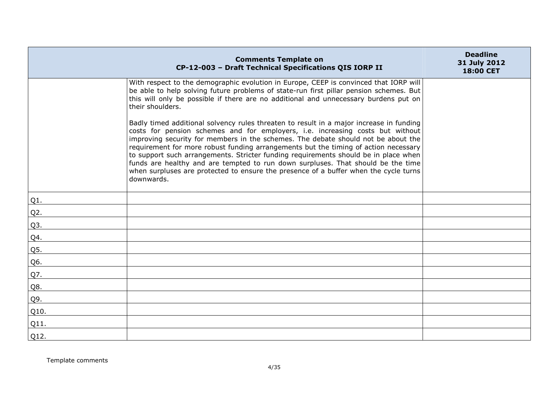|        | <b>Comments Template on</b><br>CP-12-003 - Draft Technical Specifications QIS IORP II                                                                                                                                                                                                                                                                                                                                                                                                                                                                                                                                                  | <b>Deadline</b><br>31 July 2012<br>18:00 CET |
|--------|----------------------------------------------------------------------------------------------------------------------------------------------------------------------------------------------------------------------------------------------------------------------------------------------------------------------------------------------------------------------------------------------------------------------------------------------------------------------------------------------------------------------------------------------------------------------------------------------------------------------------------------|----------------------------------------------|
|        | With respect to the demographic evolution in Europe, CEEP is convinced that IORP will<br>be able to help solving future problems of state-run first pillar pension schemes. But<br>this will only be possible if there are no additional and unnecessary burdens put on<br>their shoulders.                                                                                                                                                                                                                                                                                                                                            |                                              |
|        | Badly timed additional solvency rules threaten to result in a major increase in funding<br>costs for pension schemes and for employers, i.e. increasing costs but without<br>improving security for members in the schemes. The debate should not be about the<br>requirement for more robust funding arrangements but the timing of action necessary<br>to support such arrangements. Stricter funding requirements should be in place when<br>funds are healthy and are tempted to run down surpluses. That should be the time<br>when surpluses are protected to ensure the presence of a buffer when the cycle turns<br>downwards. |                                              |
| Q1.    |                                                                                                                                                                                                                                                                                                                                                                                                                                                                                                                                                                                                                                        |                                              |
| $Q2$ . |                                                                                                                                                                                                                                                                                                                                                                                                                                                                                                                                                                                                                                        |                                              |
| Q3.    |                                                                                                                                                                                                                                                                                                                                                                                                                                                                                                                                                                                                                                        |                                              |
| Q4.    |                                                                                                                                                                                                                                                                                                                                                                                                                                                                                                                                                                                                                                        |                                              |
| Q5.    |                                                                                                                                                                                                                                                                                                                                                                                                                                                                                                                                                                                                                                        |                                              |
| Q6.    |                                                                                                                                                                                                                                                                                                                                                                                                                                                                                                                                                                                                                                        |                                              |
| Q7.    |                                                                                                                                                                                                                                                                                                                                                                                                                                                                                                                                                                                                                                        |                                              |
| Q8.    |                                                                                                                                                                                                                                                                                                                                                                                                                                                                                                                                                                                                                                        |                                              |
| Q9.    |                                                                                                                                                                                                                                                                                                                                                                                                                                                                                                                                                                                                                                        |                                              |
| Q10.   |                                                                                                                                                                                                                                                                                                                                                                                                                                                                                                                                                                                                                                        |                                              |
| Q11.   |                                                                                                                                                                                                                                                                                                                                                                                                                                                                                                                                                                                                                                        |                                              |
| Q12.   |                                                                                                                                                                                                                                                                                                                                                                                                                                                                                                                                                                                                                                        |                                              |

Template comments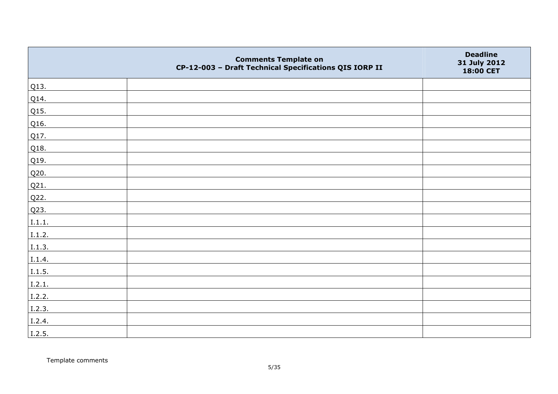|        | <b>Comments Template on</b><br>CP-12-003 - Draft Technical Specifications QIS IORP II | <b>Deadline</b><br>31 July 2012<br>18:00 CET |
|--------|---------------------------------------------------------------------------------------|----------------------------------------------|
| Q13.   |                                                                                       |                                              |
| Q14.   |                                                                                       |                                              |
| Q15.   |                                                                                       |                                              |
| Q16.   |                                                                                       |                                              |
| Q17.   |                                                                                       |                                              |
| Q18.   |                                                                                       |                                              |
| Q19.   |                                                                                       |                                              |
| Q20.   |                                                                                       |                                              |
| Q21.   |                                                                                       |                                              |
| Q22.   |                                                                                       |                                              |
| Q23.   |                                                                                       |                                              |
| I.1.1. |                                                                                       |                                              |
| I.1.2. |                                                                                       |                                              |
| I.1.3. |                                                                                       |                                              |
| I.1.4. |                                                                                       |                                              |
| 1.1.5. |                                                                                       |                                              |
| I.2.1. |                                                                                       |                                              |
| I.2.2. |                                                                                       |                                              |
| I.2.3. |                                                                                       |                                              |
| I.2.4. |                                                                                       |                                              |
| I.2.5. |                                                                                       |                                              |

Template comments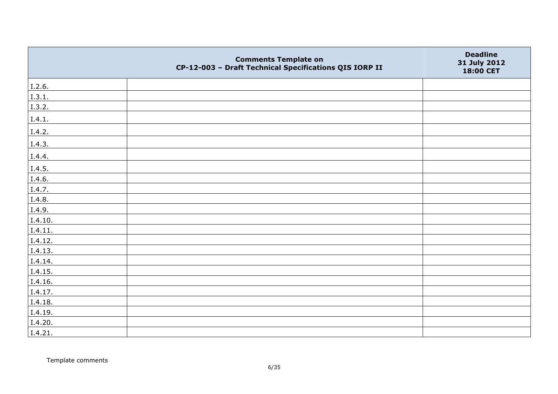|         | <b>Comments Template on</b><br>CP-12-003 - Draft Technical Specifications QIS IORP II | <b>Deadline</b><br>31 July 2012<br>18:00 CET |
|---------|---------------------------------------------------------------------------------------|----------------------------------------------|
| I.2.6.  |                                                                                       |                                              |
| I.3.1.  |                                                                                       |                                              |
| I.3.2.  |                                                                                       |                                              |
| I.4.1.  |                                                                                       |                                              |
| I.4.2.  |                                                                                       |                                              |
| I.4.3.  |                                                                                       |                                              |
| I.4.4.  |                                                                                       |                                              |
| I.4.5.  |                                                                                       |                                              |
| I.4.6.  |                                                                                       |                                              |
| I.4.7.  |                                                                                       |                                              |
| I.4.8.  |                                                                                       |                                              |
| I.4.9.  |                                                                                       |                                              |
| I.4.10. |                                                                                       |                                              |
| I.4.11. |                                                                                       |                                              |
| I.4.12. |                                                                                       |                                              |
| I.4.13. |                                                                                       |                                              |
| I.4.14. |                                                                                       |                                              |
| I.4.15. |                                                                                       |                                              |
| I.4.16. |                                                                                       |                                              |
| I.4.17. |                                                                                       |                                              |
| I.4.18. |                                                                                       |                                              |
| I.4.19. |                                                                                       |                                              |
| I.4.20. |                                                                                       |                                              |
| I.4.21. |                                                                                       |                                              |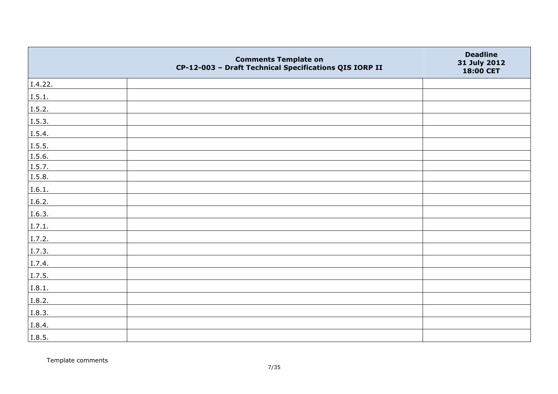|         | <b>Comments Template on</b><br>CP-12-003 - Draft Technical Specifications QIS IORP II | <b>Deadline</b><br>31 July 2012<br>18:00 CET |
|---------|---------------------------------------------------------------------------------------|----------------------------------------------|
| I.4.22. |                                                                                       |                                              |
| I.5.1.  |                                                                                       |                                              |
| I.5.2.  |                                                                                       |                                              |
| I.5.3.  |                                                                                       |                                              |
| I.5.4.  |                                                                                       |                                              |
| I.5.5.  |                                                                                       |                                              |
| I.5.6.  |                                                                                       |                                              |
| I.5.7.  |                                                                                       |                                              |
| I.5.8.  |                                                                                       |                                              |
| I.6.1.  |                                                                                       |                                              |
| I.6.2.  |                                                                                       |                                              |
| I.6.3.  |                                                                                       |                                              |
| I.7.1.  |                                                                                       |                                              |
| I.7.2.  |                                                                                       |                                              |
| I.7.3.  |                                                                                       |                                              |
| I.7.4.  |                                                                                       |                                              |
| I.7.5.  |                                                                                       |                                              |
| I.8.1.  |                                                                                       |                                              |
| I.8.2.  |                                                                                       |                                              |
| I.8.3.  |                                                                                       |                                              |
| I.8.4.  |                                                                                       |                                              |
| I.8.5.  |                                                                                       |                                              |

Template comments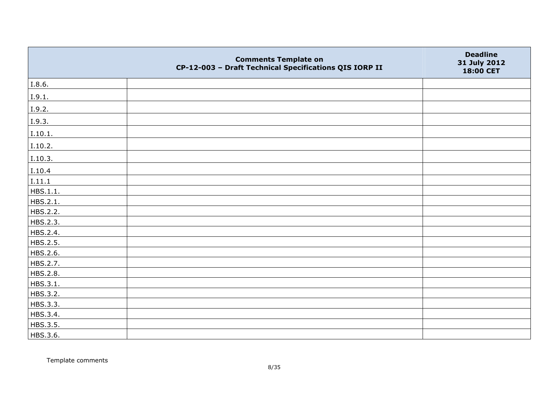|          | <b>Comments Template on</b><br>CP-12-003 - Draft Technical Specifications QIS IORP II | <b>Deadline</b><br>31 July 2012<br>18:00 CET |
|----------|---------------------------------------------------------------------------------------|----------------------------------------------|
| I.8.6.   |                                                                                       |                                              |
| I.9.1.   |                                                                                       |                                              |
| I.9.2.   |                                                                                       |                                              |
| I.9.3.   |                                                                                       |                                              |
| I.10.1.  |                                                                                       |                                              |
| I.10.2.  |                                                                                       |                                              |
| I.10.3.  |                                                                                       |                                              |
| I.10.4   |                                                                                       |                                              |
| I.11.1   |                                                                                       |                                              |
| HBS.1.1. |                                                                                       |                                              |
| HBS.2.1. |                                                                                       |                                              |
| HBS.2.2. |                                                                                       |                                              |
| HBS.2.3. |                                                                                       |                                              |
| HBS.2.4. |                                                                                       |                                              |
| HBS.2.5. |                                                                                       |                                              |
| HBS.2.6. |                                                                                       |                                              |
| HBS.2.7. |                                                                                       |                                              |
| HBS.2.8. |                                                                                       |                                              |
| HBS.3.1. |                                                                                       |                                              |
| HBS.3.2. |                                                                                       |                                              |
| HBS.3.3. |                                                                                       |                                              |
| HBS.3.4. |                                                                                       |                                              |
| HBS.3.5. |                                                                                       |                                              |
| HBS.3.6. |                                                                                       |                                              |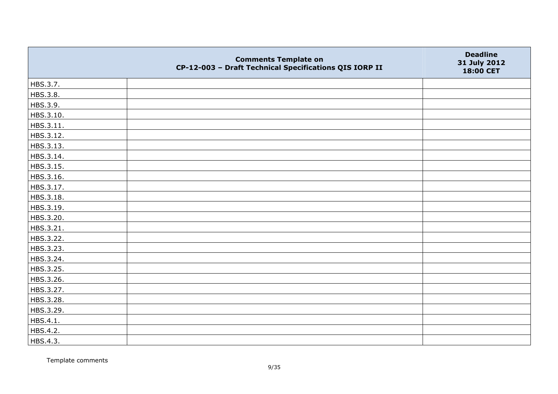|           | <b>Comments Template on</b><br>CP-12-003 - Draft Technical Specifications QIS IORP II | <b>Deadline</b><br>31 July 2012<br>18:00 CET |
|-----------|---------------------------------------------------------------------------------------|----------------------------------------------|
| HBS.3.7.  |                                                                                       |                                              |
| HBS.3.8.  |                                                                                       |                                              |
| HBS.3.9.  |                                                                                       |                                              |
| HBS.3.10. |                                                                                       |                                              |
| HBS.3.11. |                                                                                       |                                              |
| HBS.3.12. |                                                                                       |                                              |
| HBS.3.13. |                                                                                       |                                              |
| HBS.3.14. |                                                                                       |                                              |
| HBS.3.15. |                                                                                       |                                              |
| HBS.3.16. |                                                                                       |                                              |
| HBS.3.17. |                                                                                       |                                              |
| HBS.3.18. |                                                                                       |                                              |
| HBS.3.19. |                                                                                       |                                              |
| HBS.3.20. |                                                                                       |                                              |
| HBS.3.21. |                                                                                       |                                              |
| HBS.3.22. |                                                                                       |                                              |
| HBS.3.23. |                                                                                       |                                              |
| HBS.3.24. |                                                                                       |                                              |
| HBS.3.25. |                                                                                       |                                              |
| HBS.3.26. |                                                                                       |                                              |
| HBS.3.27. |                                                                                       |                                              |
| HBS.3.28. |                                                                                       |                                              |
| HBS.3.29. |                                                                                       |                                              |
| HBS.4.1.  |                                                                                       |                                              |
| HBS.4.2.  |                                                                                       |                                              |
| HBS.4.3.  |                                                                                       |                                              |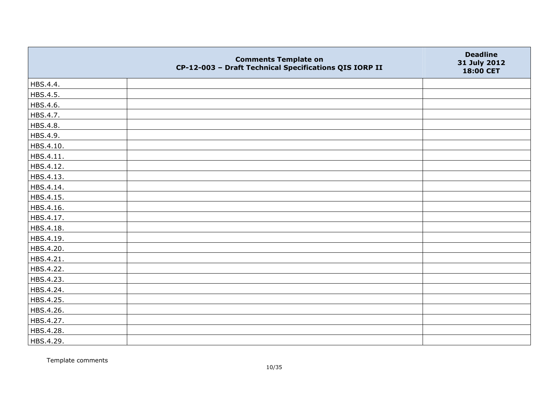|           | <b>Comments Template on</b><br>CP-12-003 - Draft Technical Specifications QIS IORP II | <b>Deadline</b><br>31 July 2012<br>18:00 CET |
|-----------|---------------------------------------------------------------------------------------|----------------------------------------------|
| HBS.4.4.  |                                                                                       |                                              |
| HBS.4.5.  |                                                                                       |                                              |
| HBS.4.6.  |                                                                                       |                                              |
| HBS.4.7.  |                                                                                       |                                              |
| HBS.4.8.  |                                                                                       |                                              |
| HBS.4.9.  |                                                                                       |                                              |
| HBS.4.10. |                                                                                       |                                              |
| HBS.4.11. |                                                                                       |                                              |
| HBS.4.12. |                                                                                       |                                              |
| HBS.4.13. |                                                                                       |                                              |
| HBS.4.14. |                                                                                       |                                              |
| HBS.4.15. |                                                                                       |                                              |
| HBS.4.16. |                                                                                       |                                              |
| HBS.4.17. |                                                                                       |                                              |
| HBS.4.18. |                                                                                       |                                              |
| HBS.4.19. |                                                                                       |                                              |
| HBS.4.20. |                                                                                       |                                              |
| HBS.4.21. |                                                                                       |                                              |
| HBS.4.22. |                                                                                       |                                              |
| HBS.4.23. |                                                                                       |                                              |
| HBS.4.24. |                                                                                       |                                              |
| HBS.4.25. |                                                                                       |                                              |
| HBS.4.26. |                                                                                       |                                              |
| HBS.4.27. |                                                                                       |                                              |
| HBS.4.28. |                                                                                       |                                              |
| HBS.4.29. |                                                                                       |                                              |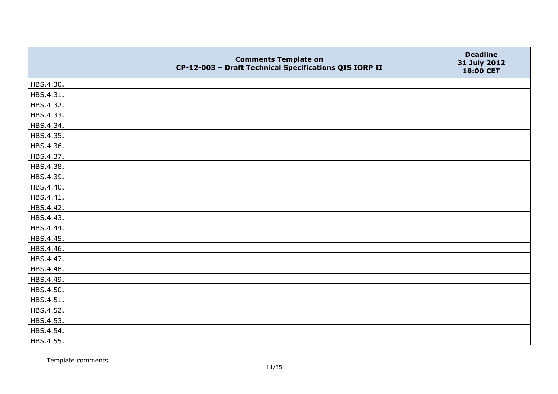|           | <b>Comments Template on</b><br>CP-12-003 - Draft Technical Specifications QIS IORP II | <b>Deadline</b><br>31 July 2012<br>18:00 CET |
|-----------|---------------------------------------------------------------------------------------|----------------------------------------------|
| HBS.4.30. |                                                                                       |                                              |
| HBS.4.31. |                                                                                       |                                              |
| HBS.4.32. |                                                                                       |                                              |
| HBS.4.33. |                                                                                       |                                              |
| HBS.4.34. |                                                                                       |                                              |
| HBS.4.35. |                                                                                       |                                              |
| HBS.4.36. |                                                                                       |                                              |
| HBS.4.37. |                                                                                       |                                              |
| HBS.4.38. |                                                                                       |                                              |
| HBS.4.39. |                                                                                       |                                              |
| HBS.4.40. |                                                                                       |                                              |
| HBS.4.41. |                                                                                       |                                              |
| HBS.4.42. |                                                                                       |                                              |
| HBS.4.43. |                                                                                       |                                              |
| HBS.4.44. |                                                                                       |                                              |
| HBS.4.45. |                                                                                       |                                              |
| HBS.4.46. |                                                                                       |                                              |
| HBS.4.47. |                                                                                       |                                              |
| HBS.4.48. |                                                                                       |                                              |
| HBS.4.49. |                                                                                       |                                              |
| HBS.4.50. |                                                                                       |                                              |
| HBS.4.51. |                                                                                       |                                              |
| HBS.4.52. |                                                                                       |                                              |
| HBS.4.53. |                                                                                       |                                              |
| HBS.4.54. |                                                                                       |                                              |
| HBS.4.55. |                                                                                       |                                              |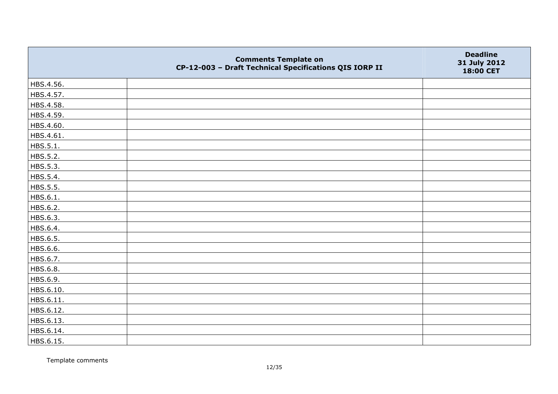|           | <b>Comments Template on</b><br>CP-12-003 - Draft Technical Specifications QIS IORP II | <b>Deadline</b><br>31 July 2012<br>18:00 CET |
|-----------|---------------------------------------------------------------------------------------|----------------------------------------------|
| HBS.4.56. |                                                                                       |                                              |
| HBS.4.57. |                                                                                       |                                              |
| HBS.4.58. |                                                                                       |                                              |
| HBS.4.59. |                                                                                       |                                              |
| HBS.4.60. |                                                                                       |                                              |
| HBS.4.61. |                                                                                       |                                              |
| HBS.5.1.  |                                                                                       |                                              |
| HBS.5.2.  |                                                                                       |                                              |
| HBS.5.3.  |                                                                                       |                                              |
| HBS.5.4.  |                                                                                       |                                              |
| HBS.5.5.  |                                                                                       |                                              |
| HBS.6.1.  |                                                                                       |                                              |
| HBS.6.2.  |                                                                                       |                                              |
| HBS.6.3.  |                                                                                       |                                              |
| HBS.6.4.  |                                                                                       |                                              |
| HBS.6.5.  |                                                                                       |                                              |
| HBS.6.6.  |                                                                                       |                                              |
| HBS.6.7.  |                                                                                       |                                              |
| HBS.6.8.  |                                                                                       |                                              |
| HBS.6.9.  |                                                                                       |                                              |
| HBS.6.10. |                                                                                       |                                              |
| HBS.6.11. |                                                                                       |                                              |
| HBS.6.12. |                                                                                       |                                              |
| HBS.6.13. |                                                                                       |                                              |
| HBS.6.14. |                                                                                       |                                              |
| HBS.6.15. |                                                                                       |                                              |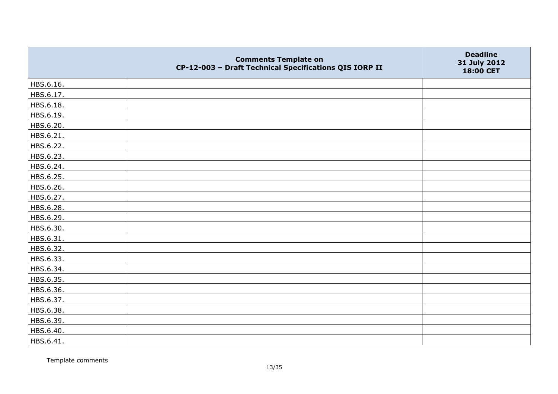|           | <b>Comments Template on</b><br>CP-12-003 - Draft Technical Specifications QIS IORP II | <b>Deadline</b><br>31 July 2012<br>18:00 CET |
|-----------|---------------------------------------------------------------------------------------|----------------------------------------------|
| HBS.6.16. |                                                                                       |                                              |
| HBS.6.17. |                                                                                       |                                              |
| HBS.6.18. |                                                                                       |                                              |
| HBS.6.19. |                                                                                       |                                              |
| HBS.6.20. |                                                                                       |                                              |
| HBS.6.21. |                                                                                       |                                              |
| HBS.6.22. |                                                                                       |                                              |
| HBS.6.23. |                                                                                       |                                              |
| HBS.6.24. |                                                                                       |                                              |
| HBS.6.25. |                                                                                       |                                              |
| HBS.6.26. |                                                                                       |                                              |
| HBS.6.27. |                                                                                       |                                              |
| HBS.6.28. |                                                                                       |                                              |
| HBS.6.29. |                                                                                       |                                              |
| HBS.6.30. |                                                                                       |                                              |
| HBS.6.31. |                                                                                       |                                              |
| HBS.6.32. |                                                                                       |                                              |
| HBS.6.33. |                                                                                       |                                              |
| HBS.6.34. |                                                                                       |                                              |
| HBS.6.35. |                                                                                       |                                              |
| HBS.6.36. |                                                                                       |                                              |
| HBS.6.37. |                                                                                       |                                              |
| HBS.6.38. |                                                                                       |                                              |
| HBS.6.39. |                                                                                       |                                              |
| HBS.6.40. |                                                                                       |                                              |
| HBS.6.41. |                                                                                       |                                              |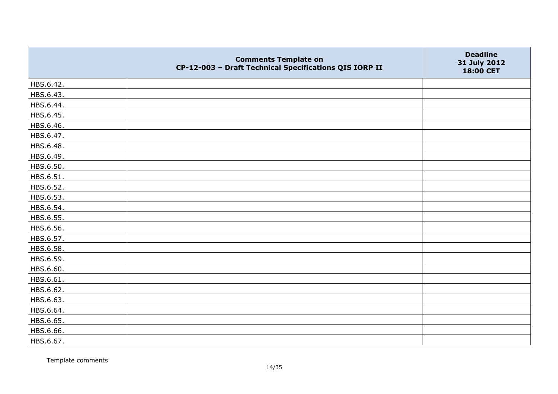|           | <b>Comments Template on</b><br>CP-12-003 - Draft Technical Specifications QIS IORP II | <b>Deadline</b><br>31 July 2012<br>18:00 CET |
|-----------|---------------------------------------------------------------------------------------|----------------------------------------------|
| HBS.6.42. |                                                                                       |                                              |
| HBS.6.43. |                                                                                       |                                              |
| HBS.6.44. |                                                                                       |                                              |
| HBS.6.45. |                                                                                       |                                              |
| HBS.6.46. |                                                                                       |                                              |
| HBS.6.47. |                                                                                       |                                              |
| HBS.6.48. |                                                                                       |                                              |
| HBS.6.49. |                                                                                       |                                              |
| HBS.6.50. |                                                                                       |                                              |
| HBS.6.51. |                                                                                       |                                              |
| HBS.6.52. |                                                                                       |                                              |
| HBS.6.53. |                                                                                       |                                              |
| HBS.6.54. |                                                                                       |                                              |
| HBS.6.55. |                                                                                       |                                              |
| HBS.6.56. |                                                                                       |                                              |
| HBS.6.57. |                                                                                       |                                              |
| HBS.6.58. |                                                                                       |                                              |
| HBS.6.59. |                                                                                       |                                              |
| HBS.6.60. |                                                                                       |                                              |
| HBS.6.61. |                                                                                       |                                              |
| HBS.6.62. |                                                                                       |                                              |
| HBS.6.63. |                                                                                       |                                              |
| HBS.6.64. |                                                                                       |                                              |
| HBS.6.65. |                                                                                       |                                              |
| HBS.6.66. |                                                                                       |                                              |
| HBS.6.67. |                                                                                       |                                              |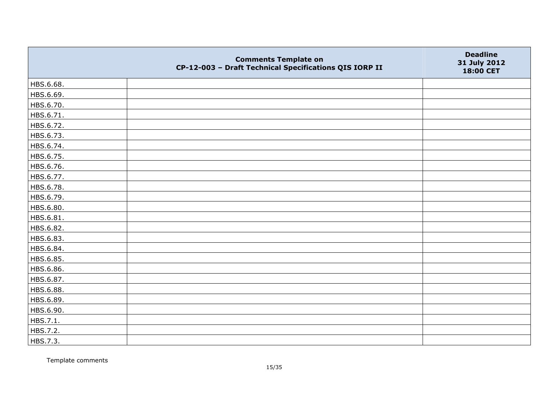|           | <b>Comments Template on</b><br>CP-12-003 - Draft Technical Specifications QIS IORP II | <b>Deadline</b><br>31 July 2012<br>18:00 CET |
|-----------|---------------------------------------------------------------------------------------|----------------------------------------------|
| HBS.6.68. |                                                                                       |                                              |
| HBS.6.69. |                                                                                       |                                              |
| HBS.6.70. |                                                                                       |                                              |
| HBS.6.71. |                                                                                       |                                              |
| HBS.6.72. |                                                                                       |                                              |
| HBS.6.73. |                                                                                       |                                              |
| HBS.6.74. |                                                                                       |                                              |
| HBS.6.75. |                                                                                       |                                              |
| HBS.6.76. |                                                                                       |                                              |
| HBS.6.77. |                                                                                       |                                              |
| HBS.6.78. |                                                                                       |                                              |
| HBS.6.79. |                                                                                       |                                              |
| HBS.6.80. |                                                                                       |                                              |
| HBS.6.81. |                                                                                       |                                              |
| HBS.6.82. |                                                                                       |                                              |
| HBS.6.83. |                                                                                       |                                              |
| HBS.6.84. |                                                                                       |                                              |
| HBS.6.85. |                                                                                       |                                              |
| HBS.6.86. |                                                                                       |                                              |
| HBS.6.87. |                                                                                       |                                              |
| HBS.6.88. |                                                                                       |                                              |
| HBS.6.89. |                                                                                       |                                              |
| HBS.6.90. |                                                                                       |                                              |
| HBS.7.1.  |                                                                                       |                                              |
| HBS.7.2.  |                                                                                       |                                              |
| HBS.7.3.  |                                                                                       |                                              |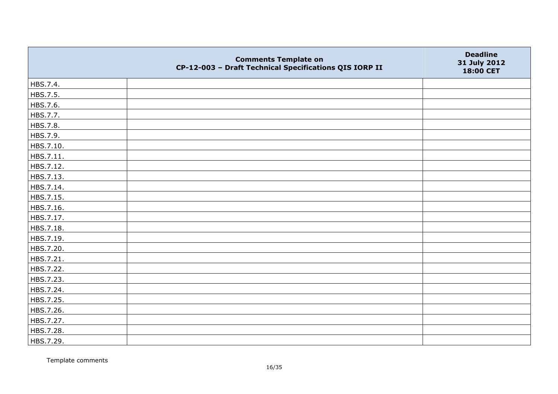|           | <b>Comments Template on</b><br>CP-12-003 - Draft Technical Specifications QIS IORP II | <b>Deadline</b><br>31 July 2012<br>18:00 CET |
|-----------|---------------------------------------------------------------------------------------|----------------------------------------------|
| HBS.7.4.  |                                                                                       |                                              |
| HBS.7.5.  |                                                                                       |                                              |
| HBS.7.6.  |                                                                                       |                                              |
| HBS.7.7.  |                                                                                       |                                              |
| HBS.7.8.  |                                                                                       |                                              |
| HBS.7.9.  |                                                                                       |                                              |
| HBS.7.10. |                                                                                       |                                              |
| HBS.7.11. |                                                                                       |                                              |
| HBS.7.12. |                                                                                       |                                              |
| HBS.7.13. |                                                                                       |                                              |
| HBS.7.14. |                                                                                       |                                              |
| HBS.7.15. |                                                                                       |                                              |
| HBS.7.16. |                                                                                       |                                              |
| HBS.7.17. |                                                                                       |                                              |
| HBS.7.18. |                                                                                       |                                              |
| HBS.7.19. |                                                                                       |                                              |
| HBS.7.20. |                                                                                       |                                              |
| HBS.7.21. |                                                                                       |                                              |
| HBS.7.22. |                                                                                       |                                              |
| HBS.7.23. |                                                                                       |                                              |
| HBS.7.24. |                                                                                       |                                              |
| HBS.7.25. |                                                                                       |                                              |
| HBS.7.26. |                                                                                       |                                              |
| HBS.7.27. |                                                                                       |                                              |
| HBS.7.28. |                                                                                       |                                              |
| HBS.7.29. |                                                                                       |                                              |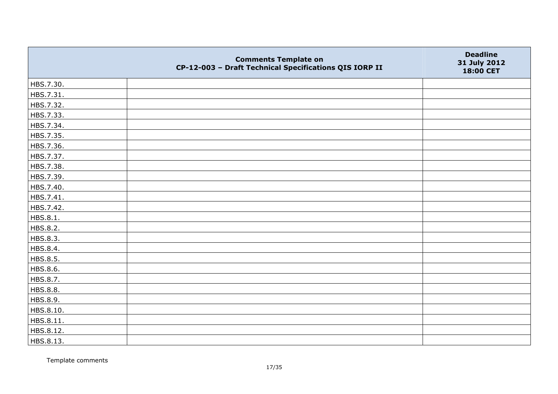|           | <b>Comments Template on</b><br>CP-12-003 - Draft Technical Specifications QIS IORP II | <b>Deadline</b><br>31 July 2012<br>18:00 CET |
|-----------|---------------------------------------------------------------------------------------|----------------------------------------------|
| HBS.7.30. |                                                                                       |                                              |
| HBS.7.31. |                                                                                       |                                              |
| HBS.7.32. |                                                                                       |                                              |
| HBS.7.33. |                                                                                       |                                              |
| HBS.7.34. |                                                                                       |                                              |
| HBS.7.35. |                                                                                       |                                              |
| HBS.7.36. |                                                                                       |                                              |
| HBS.7.37. |                                                                                       |                                              |
| HBS.7.38. |                                                                                       |                                              |
| HBS.7.39. |                                                                                       |                                              |
| HBS.7.40. |                                                                                       |                                              |
| HBS.7.41. |                                                                                       |                                              |
| HBS.7.42. |                                                                                       |                                              |
| HBS.8.1.  |                                                                                       |                                              |
| HBS.8.2.  |                                                                                       |                                              |
| HBS.8.3.  |                                                                                       |                                              |
| HBS.8.4.  |                                                                                       |                                              |
| HBS.8.5.  |                                                                                       |                                              |
| HBS.8.6.  |                                                                                       |                                              |
| HBS.8.7.  |                                                                                       |                                              |
| HBS.8.8.  |                                                                                       |                                              |
| HBS.8.9.  |                                                                                       |                                              |
| HBS.8.10. |                                                                                       |                                              |
| HBS.8.11. |                                                                                       |                                              |
| HBS.8.12. |                                                                                       |                                              |
| HBS.8.13. |                                                                                       |                                              |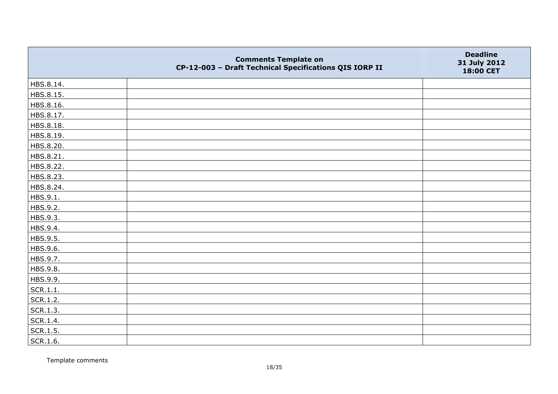|           | <b>Comments Template on</b><br>CP-12-003 - Draft Technical Specifications QIS IORP II | <b>Deadline</b><br>31 July 2012<br>18:00 CET |
|-----------|---------------------------------------------------------------------------------------|----------------------------------------------|
| HBS.8.14. |                                                                                       |                                              |
| HBS.8.15. |                                                                                       |                                              |
| HBS.8.16. |                                                                                       |                                              |
| HBS.8.17. |                                                                                       |                                              |
| HBS.8.18. |                                                                                       |                                              |
| HBS.8.19. |                                                                                       |                                              |
| HBS.8.20. |                                                                                       |                                              |
| HBS.8.21. |                                                                                       |                                              |
| HBS.8.22. |                                                                                       |                                              |
| HBS.8.23. |                                                                                       |                                              |
| HBS.8.24. |                                                                                       |                                              |
| HBS.9.1.  |                                                                                       |                                              |
| HBS.9.2.  |                                                                                       |                                              |
| HBS.9.3.  |                                                                                       |                                              |
| HBS.9.4.  |                                                                                       |                                              |
| HBS.9.5.  |                                                                                       |                                              |
| HBS.9.6.  |                                                                                       |                                              |
| HBS.9.7.  |                                                                                       |                                              |
| HBS.9.8.  |                                                                                       |                                              |
| HBS.9.9.  |                                                                                       |                                              |
| SCR.1.1.  |                                                                                       |                                              |
| SCR.1.2.  |                                                                                       |                                              |
| SCR.1.3.  |                                                                                       |                                              |
| SCR.1.4.  |                                                                                       |                                              |
| SCR.1.5.  |                                                                                       |                                              |
| SCR.1.6.  |                                                                                       |                                              |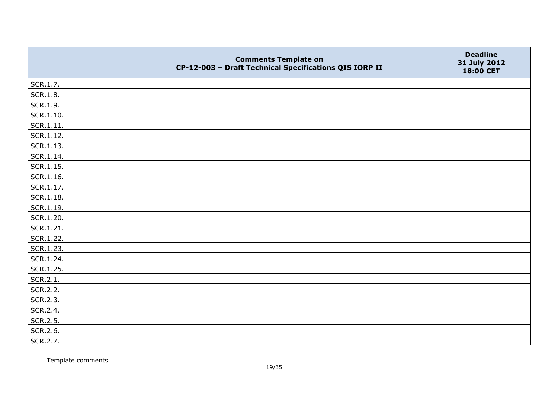|                   | <b>Comments Template on</b><br>CP-12-003 - Draft Technical Specifications QIS IORP II | <b>Deadline</b><br>31 July 2012<br>18:00 CET |
|-------------------|---------------------------------------------------------------------------------------|----------------------------------------------|
| SCR.1.7.          |                                                                                       |                                              |
| SCR.1.8.          |                                                                                       |                                              |
| SCR.1.9.          |                                                                                       |                                              |
| $\vert$ SCR.1.10. |                                                                                       |                                              |
| SCR.1.11.         |                                                                                       |                                              |
| SCR.1.12.         |                                                                                       |                                              |
| SCR.1.13.         |                                                                                       |                                              |
| $ $ SCR.1.14.     |                                                                                       |                                              |
| $\vert$ SCR.1.15. |                                                                                       |                                              |
| SCR.1.16.         |                                                                                       |                                              |
| $ $ SCR.1.17.     |                                                                                       |                                              |
| SCR.1.18.         |                                                                                       |                                              |
| SCR.1.19.         |                                                                                       |                                              |
| SCR.1.20.         |                                                                                       |                                              |
| SCR.1.21.         |                                                                                       |                                              |
| SCR.1.22.         |                                                                                       |                                              |
| SCR.1.23.         |                                                                                       |                                              |
| SCR.1.24.         |                                                                                       |                                              |
| SCR.1.25.         |                                                                                       |                                              |
| SCR.2.1.          |                                                                                       |                                              |
| SCR.2.2.          |                                                                                       |                                              |
| SCR.2.3.          |                                                                                       |                                              |
| SCR.2.4.          |                                                                                       |                                              |
| SCR.2.5.          |                                                                                       |                                              |
| SCR.2.6.          |                                                                                       |                                              |
| SCR.2.7.          |                                                                                       |                                              |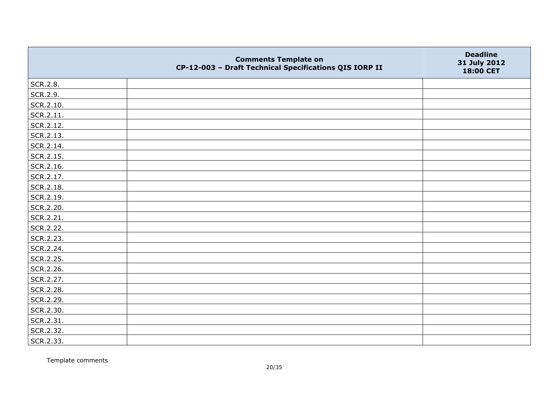|           | <b>Comments Template on</b><br>CP-12-003 - Draft Technical Specifications QIS IORP II | <b>Deadline</b><br>31 July 2012<br>18:00 CET |
|-----------|---------------------------------------------------------------------------------------|----------------------------------------------|
| SCR.2.8.  |                                                                                       |                                              |
| SCR.2.9.  |                                                                                       |                                              |
| SCR.2.10. |                                                                                       |                                              |
| SCR.2.11. |                                                                                       |                                              |
| SCR.2.12. |                                                                                       |                                              |
| SCR.2.13. |                                                                                       |                                              |
| SCR.2.14. |                                                                                       |                                              |
| SCR.2.15. |                                                                                       |                                              |
| SCR.2.16. |                                                                                       |                                              |
| SCR.2.17. |                                                                                       |                                              |
| SCR.2.18. |                                                                                       |                                              |
| SCR.2.19. |                                                                                       |                                              |
| SCR.2.20. |                                                                                       |                                              |
| SCR.2.21. |                                                                                       |                                              |
| SCR.2.22. |                                                                                       |                                              |
| SCR.2.23. |                                                                                       |                                              |
| SCR.2.24. |                                                                                       |                                              |
| SCR.2.25. |                                                                                       |                                              |
| SCR.2.26. |                                                                                       |                                              |
| SCR.2.27. |                                                                                       |                                              |
| SCR.2.28. |                                                                                       |                                              |
| SCR.2.29. |                                                                                       |                                              |
| SCR.2.30. |                                                                                       |                                              |
| SCR.2.31. |                                                                                       |                                              |
| SCR.2.32. |                                                                                       |                                              |
| SCR.2.33. |                                                                                       |                                              |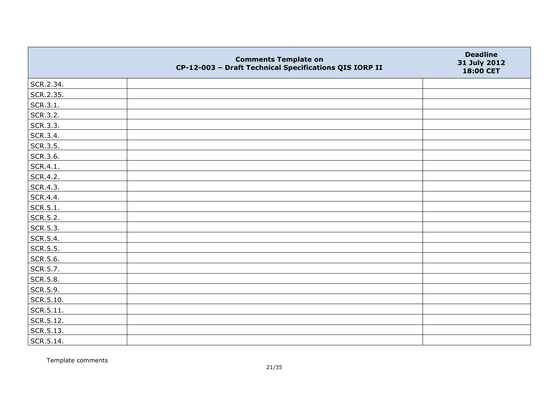|                 | <b>Comments Template on</b><br>CP-12-003 - Draft Technical Specifications QIS IORP II | <b>Deadline</b><br>31 July 2012<br>18:00 CET |
|-----------------|---------------------------------------------------------------------------------------|----------------------------------------------|
| SCR.2.34.       |                                                                                       |                                              |
| SCR.2.35.       |                                                                                       |                                              |
| SCR.3.1.        |                                                                                       |                                              |
| SCR.3.2.        |                                                                                       |                                              |
| SCR.3.3.        |                                                                                       |                                              |
| SCR.3.4.        |                                                                                       |                                              |
| SCR.3.5.        |                                                                                       |                                              |
| SCR.3.6.        |                                                                                       |                                              |
| SCR.4.1.        |                                                                                       |                                              |
| SCR.4.2.        |                                                                                       |                                              |
| SCR.4.3.        |                                                                                       |                                              |
| SCR.4.4.        |                                                                                       |                                              |
| SCR.5.1.        |                                                                                       |                                              |
| SCR.5.2.        |                                                                                       |                                              |
| SCR.5.3.        |                                                                                       |                                              |
| SCR.5.4.        |                                                                                       |                                              |
| SCR.5.5.        |                                                                                       |                                              |
| SCR.5.6.        |                                                                                       |                                              |
| SCR.5.7.        |                                                                                       |                                              |
| <b>SCR.5.8.</b> |                                                                                       |                                              |
| SCR.5.9.        |                                                                                       |                                              |
| SCR.5.10.       |                                                                                       |                                              |
| SCR.5.11.       |                                                                                       |                                              |
| SCR.5.12.       |                                                                                       |                                              |
| SCR.5.13.       |                                                                                       |                                              |
| SCR.5.14.       |                                                                                       |                                              |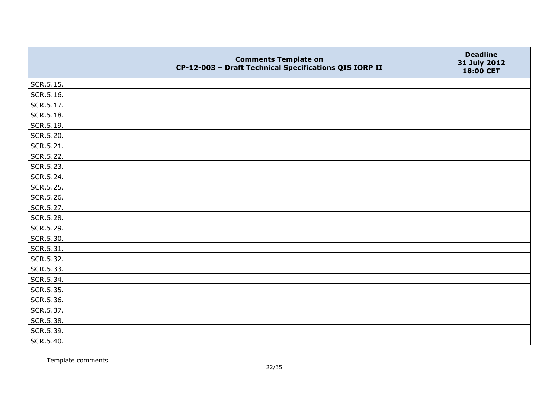|           | <b>Comments Template on</b><br>CP-12-003 - Draft Technical Specifications QIS IORP II | <b>Deadline</b><br>31 July 2012<br>18:00 CET |
|-----------|---------------------------------------------------------------------------------------|----------------------------------------------|
| SCR.5.15. |                                                                                       |                                              |
| SCR.5.16. |                                                                                       |                                              |
| SCR.5.17. |                                                                                       |                                              |
| SCR.5.18. |                                                                                       |                                              |
| SCR.5.19. |                                                                                       |                                              |
| SCR.5.20. |                                                                                       |                                              |
| SCR.5.21. |                                                                                       |                                              |
| SCR.5.22. |                                                                                       |                                              |
| SCR.5.23. |                                                                                       |                                              |
| SCR.5.24. |                                                                                       |                                              |
| SCR.5.25. |                                                                                       |                                              |
| SCR.5.26. |                                                                                       |                                              |
| SCR.5.27. |                                                                                       |                                              |
| SCR.5.28. |                                                                                       |                                              |
| SCR.5.29. |                                                                                       |                                              |
| SCR.5.30. |                                                                                       |                                              |
| SCR.5.31. |                                                                                       |                                              |
| SCR.5.32. |                                                                                       |                                              |
| SCR.5.33. |                                                                                       |                                              |
| SCR.5.34. |                                                                                       |                                              |
| SCR.5.35. |                                                                                       |                                              |
| SCR.5.36. |                                                                                       |                                              |
| SCR.5.37. |                                                                                       |                                              |
| SCR.5.38. |                                                                                       |                                              |
| SCR.5.39. |                                                                                       |                                              |
| SCR.5.40. |                                                                                       |                                              |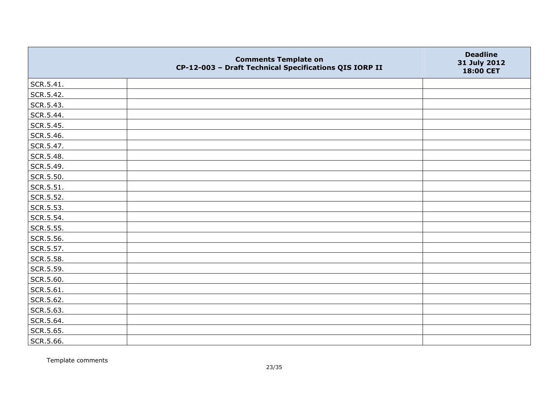|           | <b>Comments Template on</b><br>CP-12-003 - Draft Technical Specifications QIS IORP II | <b>Deadline</b><br>31 July 2012<br>18:00 CET |
|-----------|---------------------------------------------------------------------------------------|----------------------------------------------|
| SCR.5.41. |                                                                                       |                                              |
| SCR.5.42. |                                                                                       |                                              |
| SCR.5.43. |                                                                                       |                                              |
| SCR.5.44. |                                                                                       |                                              |
| SCR.5.45. |                                                                                       |                                              |
| SCR.5.46. |                                                                                       |                                              |
| SCR.5.47. |                                                                                       |                                              |
| SCR.5.48. |                                                                                       |                                              |
| SCR.5.49. |                                                                                       |                                              |
| SCR.5.50. |                                                                                       |                                              |
| SCR.5.51. |                                                                                       |                                              |
| SCR.5.52. |                                                                                       |                                              |
| SCR.5.53. |                                                                                       |                                              |
| SCR.5.54. |                                                                                       |                                              |
| SCR.5.55. |                                                                                       |                                              |
| SCR.5.56. |                                                                                       |                                              |
| SCR.5.57. |                                                                                       |                                              |
| SCR.5.58. |                                                                                       |                                              |
| SCR.5.59. |                                                                                       |                                              |
| SCR.5.60. |                                                                                       |                                              |
| SCR.5.61. |                                                                                       |                                              |
| SCR.5.62. |                                                                                       |                                              |
| SCR.5.63. |                                                                                       |                                              |
| SCR.5.64. |                                                                                       |                                              |
| SCR.5.65. |                                                                                       |                                              |
| SCR.5.66. |                                                                                       |                                              |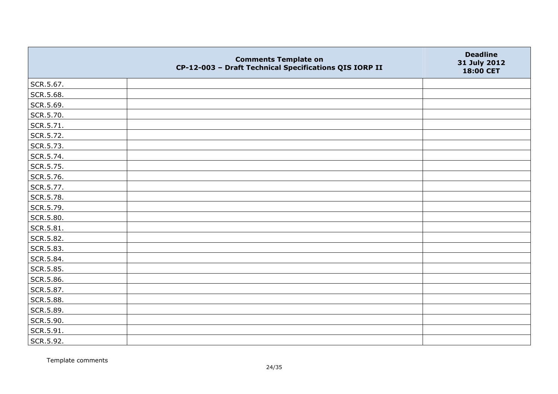|           | <b>Comments Template on</b><br>CP-12-003 - Draft Technical Specifications QIS IORP II | <b>Deadline</b><br>31 July 2012<br>18:00 CET |
|-----------|---------------------------------------------------------------------------------------|----------------------------------------------|
| SCR.5.67. |                                                                                       |                                              |
| SCR.5.68. |                                                                                       |                                              |
| SCR.5.69. |                                                                                       |                                              |
| SCR.5.70. |                                                                                       |                                              |
| SCR.5.71. |                                                                                       |                                              |
| SCR.5.72. |                                                                                       |                                              |
| SCR.5.73. |                                                                                       |                                              |
| SCR.5.74. |                                                                                       |                                              |
| SCR.5.75. |                                                                                       |                                              |
| SCR.5.76. |                                                                                       |                                              |
| SCR.5.77. |                                                                                       |                                              |
| SCR.5.78. |                                                                                       |                                              |
| SCR.5.79. |                                                                                       |                                              |
| SCR.5.80. |                                                                                       |                                              |
| SCR.5.81. |                                                                                       |                                              |
| SCR.5.82. |                                                                                       |                                              |
| SCR.5.83. |                                                                                       |                                              |
| SCR.5.84. |                                                                                       |                                              |
| SCR.5.85. |                                                                                       |                                              |
| SCR.5.86. |                                                                                       |                                              |
| SCR.5.87. |                                                                                       |                                              |
| SCR.5.88. |                                                                                       |                                              |
| SCR.5.89. |                                                                                       |                                              |
| SCR.5.90. |                                                                                       |                                              |
| SCR.5.91. |                                                                                       |                                              |
| SCR.5.92. |                                                                                       |                                              |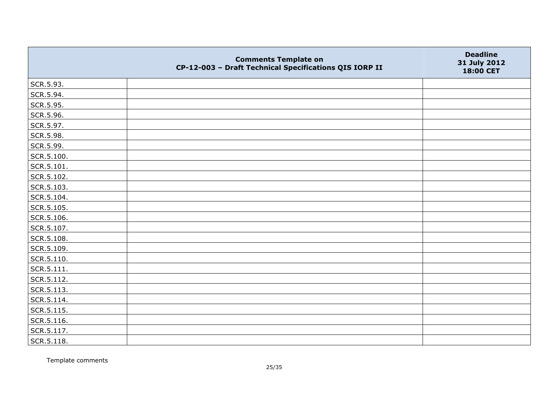|            | <b>Comments Template on</b><br>CP-12-003 - Draft Technical Specifications QIS IORP II | <b>Deadline</b><br>31 July 2012<br>18:00 CET |
|------------|---------------------------------------------------------------------------------------|----------------------------------------------|
| SCR.5.93.  |                                                                                       |                                              |
| SCR.5.94.  |                                                                                       |                                              |
| SCR.5.95.  |                                                                                       |                                              |
| SCR.5.96.  |                                                                                       |                                              |
| SCR.5.97.  |                                                                                       |                                              |
| SCR.5.98.  |                                                                                       |                                              |
| SCR.5.99.  |                                                                                       |                                              |
| SCR.5.100. |                                                                                       |                                              |
| SCR.5.101. |                                                                                       |                                              |
| SCR.5.102. |                                                                                       |                                              |
| SCR.5.103. |                                                                                       |                                              |
| SCR.5.104. |                                                                                       |                                              |
| SCR.5.105. |                                                                                       |                                              |
| SCR.5.106. |                                                                                       |                                              |
| SCR.5.107. |                                                                                       |                                              |
| SCR.5.108. |                                                                                       |                                              |
| SCR.5.109. |                                                                                       |                                              |
| SCR.5.110. |                                                                                       |                                              |
| SCR.5.111. |                                                                                       |                                              |
| SCR.5.112. |                                                                                       |                                              |
| SCR.5.113. |                                                                                       |                                              |
| SCR.5.114. |                                                                                       |                                              |
| SCR.5.115. |                                                                                       |                                              |
| SCR.5.116. |                                                                                       |                                              |
| SCR.5.117. |                                                                                       |                                              |
| SCR.5.118. |                                                                                       |                                              |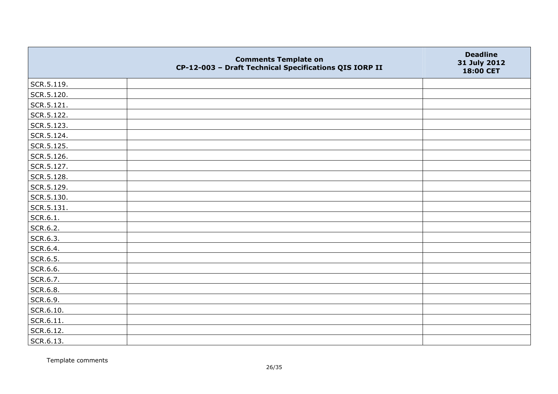|                   | <b>Comments Template on</b><br>CP-12-003 - Draft Technical Specifications QIS IORP II | <b>Deadline</b><br>31 July 2012<br>18:00 CET |
|-------------------|---------------------------------------------------------------------------------------|----------------------------------------------|
| SCR.5.119.        |                                                                                       |                                              |
| SCR.5.120.        |                                                                                       |                                              |
| SCR.5.121.        |                                                                                       |                                              |
| SCR.5.122.        |                                                                                       |                                              |
| SCR.5.123.        |                                                                                       |                                              |
| SCR.5.124.        |                                                                                       |                                              |
| SCR.5.125.        |                                                                                       |                                              |
| SCR.5.126.        |                                                                                       |                                              |
| SCR.5.127.        |                                                                                       |                                              |
| SCR.5.128.        |                                                                                       |                                              |
| SCR.5.129.        |                                                                                       |                                              |
| SCR.5.130.        |                                                                                       |                                              |
| SCR.5.131.        |                                                                                       |                                              |
| SCR.6.1.          |                                                                                       |                                              |
| SCR.6.2.          |                                                                                       |                                              |
| SCR.6.3.          |                                                                                       |                                              |
| SCR.6.4.          |                                                                                       |                                              |
| SCR.6.5.          |                                                                                       |                                              |
| SCR.6.6.          |                                                                                       |                                              |
| SCR.6.7.          |                                                                                       |                                              |
| SCR.6.8.          |                                                                                       |                                              |
| SCR.6.9.          |                                                                                       |                                              |
| SCR.6.10.         |                                                                                       |                                              |
| $\vert$ SCR.6.11. |                                                                                       |                                              |
| SCR.6.12.         |                                                                                       |                                              |
| SCR.6.13.         |                                                                                       |                                              |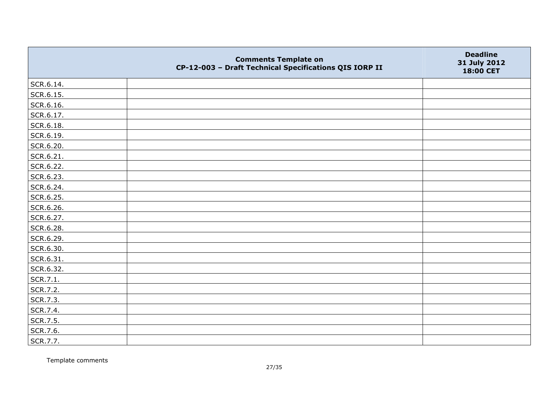|           | <b>Comments Template on</b><br>CP-12-003 - Draft Technical Specifications QIS IORP II | <b>Deadline</b><br>31 July 2012<br>18:00 CET |
|-----------|---------------------------------------------------------------------------------------|----------------------------------------------|
| SCR.6.14. |                                                                                       |                                              |
| SCR.6.15. |                                                                                       |                                              |
| SCR.6.16. |                                                                                       |                                              |
| SCR.6.17. |                                                                                       |                                              |
| SCR.6.18. |                                                                                       |                                              |
| SCR.6.19. |                                                                                       |                                              |
| SCR.6.20. |                                                                                       |                                              |
| SCR.6.21. |                                                                                       |                                              |
| SCR.6.22. |                                                                                       |                                              |
| SCR.6.23. |                                                                                       |                                              |
| SCR.6.24. |                                                                                       |                                              |
| SCR.6.25. |                                                                                       |                                              |
| SCR.6.26. |                                                                                       |                                              |
| SCR.6.27. |                                                                                       |                                              |
| SCR.6.28. |                                                                                       |                                              |
| SCR.6.29. |                                                                                       |                                              |
| SCR.6.30. |                                                                                       |                                              |
| SCR.6.31. |                                                                                       |                                              |
| SCR.6.32. |                                                                                       |                                              |
| SCR.7.1.  |                                                                                       |                                              |
| SCR.7.2.  |                                                                                       |                                              |
| SCR.7.3.  |                                                                                       |                                              |
| SCR.7.4.  |                                                                                       |                                              |
| SCR.7.5.  |                                                                                       |                                              |
| SCR.7.6.  |                                                                                       |                                              |
| SCR.7.7.  |                                                                                       |                                              |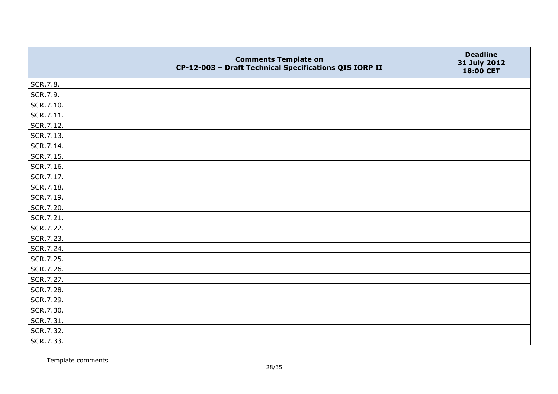|           | <b>Comments Template on</b><br>CP-12-003 - Draft Technical Specifications QIS IORP II | <b>Deadline</b><br>31 July 2012<br>18:00 CET |
|-----------|---------------------------------------------------------------------------------------|----------------------------------------------|
| SCR.7.8.  |                                                                                       |                                              |
| SCR.7.9.  |                                                                                       |                                              |
| SCR.7.10. |                                                                                       |                                              |
| SCR.7.11. |                                                                                       |                                              |
| SCR.7.12. |                                                                                       |                                              |
| SCR.7.13. |                                                                                       |                                              |
| SCR.7.14. |                                                                                       |                                              |
| SCR.7.15. |                                                                                       |                                              |
| SCR.7.16. |                                                                                       |                                              |
| SCR.7.17. |                                                                                       |                                              |
| SCR.7.18. |                                                                                       |                                              |
| SCR.7.19. |                                                                                       |                                              |
| SCR.7.20. |                                                                                       |                                              |
| SCR.7.21. |                                                                                       |                                              |
| SCR.7.22. |                                                                                       |                                              |
| SCR.7.23. |                                                                                       |                                              |
| SCR.7.24. |                                                                                       |                                              |
| SCR.7.25. |                                                                                       |                                              |
| SCR.7.26. |                                                                                       |                                              |
| SCR.7.27. |                                                                                       |                                              |
| SCR.7.28. |                                                                                       |                                              |
| SCR.7.29. |                                                                                       |                                              |
| SCR.7.30. |                                                                                       |                                              |
| SCR.7.31. |                                                                                       |                                              |
| SCR.7.32. |                                                                                       |                                              |
| SCR.7.33. |                                                                                       |                                              |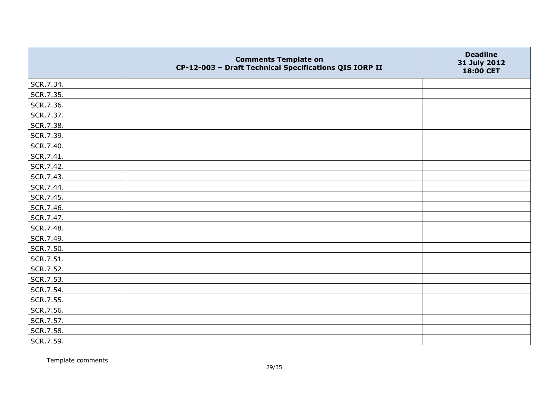|           | <b>Comments Template on</b><br>CP-12-003 - Draft Technical Specifications QIS IORP II | <b>Deadline</b><br>31 July 2012<br>18:00 CET |
|-----------|---------------------------------------------------------------------------------------|----------------------------------------------|
| SCR.7.34. |                                                                                       |                                              |
| SCR.7.35. |                                                                                       |                                              |
| SCR.7.36. |                                                                                       |                                              |
| SCR.7.37. |                                                                                       |                                              |
| SCR.7.38. |                                                                                       |                                              |
| SCR.7.39. |                                                                                       |                                              |
| SCR.7.40. |                                                                                       |                                              |
| SCR.7.41. |                                                                                       |                                              |
| SCR.7.42. |                                                                                       |                                              |
| SCR.7.43. |                                                                                       |                                              |
| SCR.7.44. |                                                                                       |                                              |
| SCR.7.45. |                                                                                       |                                              |
| SCR.7.46. |                                                                                       |                                              |
| SCR.7.47. |                                                                                       |                                              |
| SCR.7.48. |                                                                                       |                                              |
| SCR.7.49. |                                                                                       |                                              |
| SCR.7.50. |                                                                                       |                                              |
| SCR.7.51. |                                                                                       |                                              |
| SCR.7.52. |                                                                                       |                                              |
| SCR.7.53. |                                                                                       |                                              |
| SCR.7.54. |                                                                                       |                                              |
| SCR.7.55. |                                                                                       |                                              |
| SCR.7.56. |                                                                                       |                                              |
| SCR.7.57. |                                                                                       |                                              |
| SCR.7.58. |                                                                                       |                                              |
| SCR.7.59. |                                                                                       |                                              |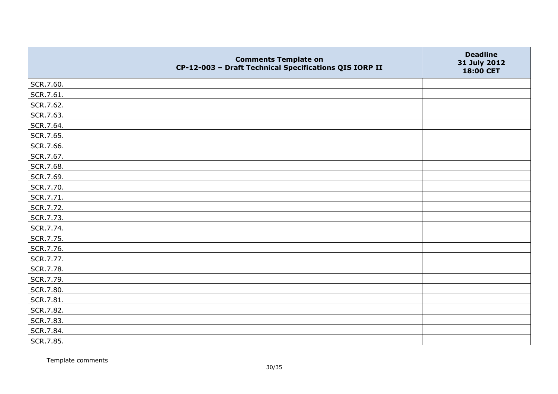|           | <b>Comments Template on</b><br>CP-12-003 - Draft Technical Specifications QIS IORP II | <b>Deadline</b><br>31 July 2012<br>18:00 CET |
|-----------|---------------------------------------------------------------------------------------|----------------------------------------------|
| SCR.7.60. |                                                                                       |                                              |
| SCR.7.61. |                                                                                       |                                              |
| SCR.7.62. |                                                                                       |                                              |
| SCR.7.63. |                                                                                       |                                              |
| SCR.7.64. |                                                                                       |                                              |
| SCR.7.65. |                                                                                       |                                              |
| SCR.7.66. |                                                                                       |                                              |
| SCR.7.67. |                                                                                       |                                              |
| SCR.7.68. |                                                                                       |                                              |
| SCR.7.69. |                                                                                       |                                              |
| SCR.7.70. |                                                                                       |                                              |
| SCR.7.71. |                                                                                       |                                              |
| SCR.7.72. |                                                                                       |                                              |
| SCR.7.73. |                                                                                       |                                              |
| SCR.7.74. |                                                                                       |                                              |
| SCR.7.75. |                                                                                       |                                              |
| SCR.7.76. |                                                                                       |                                              |
| SCR.7.77. |                                                                                       |                                              |
| SCR.7.78. |                                                                                       |                                              |
| SCR.7.79. |                                                                                       |                                              |
| SCR.7.80. |                                                                                       |                                              |
| SCR.7.81. |                                                                                       |                                              |
| SCR.7.82. |                                                                                       |                                              |
| SCR.7.83. |                                                                                       |                                              |
| SCR.7.84. |                                                                                       |                                              |
| SCR.7.85. |                                                                                       |                                              |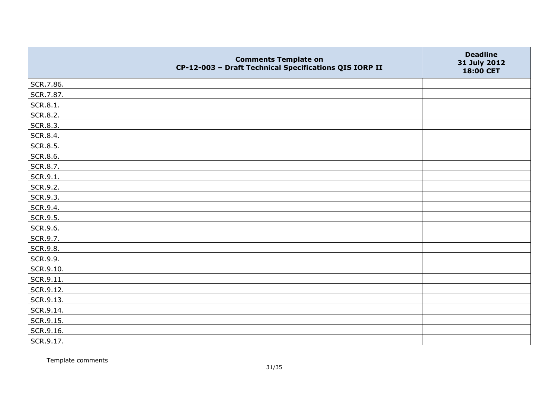|           | <b>Comments Template on</b><br>CP-12-003 - Draft Technical Specifications QIS IORP II | <b>Deadline</b><br>31 July 2012<br>18:00 CET |
|-----------|---------------------------------------------------------------------------------------|----------------------------------------------|
| SCR.7.86. |                                                                                       |                                              |
| SCR.7.87. |                                                                                       |                                              |
| SCR.8.1.  |                                                                                       |                                              |
| SCR.8.2.  |                                                                                       |                                              |
| SCR.8.3.  |                                                                                       |                                              |
| SCR.8.4.  |                                                                                       |                                              |
| SCR.8.5.  |                                                                                       |                                              |
| SCR.8.6.  |                                                                                       |                                              |
| SCR.8.7.  |                                                                                       |                                              |
| SCR.9.1.  |                                                                                       |                                              |
| SCR.9.2.  |                                                                                       |                                              |
| SCR.9.3.  |                                                                                       |                                              |
| SCR.9.4.  |                                                                                       |                                              |
| SCR.9.5.  |                                                                                       |                                              |
| SCR.9.6.  |                                                                                       |                                              |
| SCR.9.7.  |                                                                                       |                                              |
| SCR.9.8.  |                                                                                       |                                              |
| SCR.9.9.  |                                                                                       |                                              |
| SCR.9.10. |                                                                                       |                                              |
| SCR.9.11. |                                                                                       |                                              |
| SCR.9.12. |                                                                                       |                                              |
| SCR.9.13. |                                                                                       |                                              |
| SCR.9.14. |                                                                                       |                                              |
| SCR.9.15. |                                                                                       |                                              |
| SCR.9.16. |                                                                                       |                                              |
| SCR.9.17. |                                                                                       |                                              |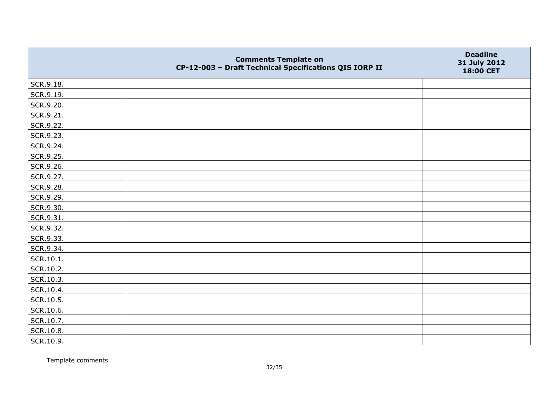|               | <b>Comments Template on</b><br>CP-12-003 - Draft Technical Specifications QIS IORP II | <b>Deadline</b><br>31 July 2012<br>18:00 CET |
|---------------|---------------------------------------------------------------------------------------|----------------------------------------------|
| SCR.9.18.     |                                                                                       |                                              |
| SCR.9.19.     |                                                                                       |                                              |
| SCR.9.20.     |                                                                                       |                                              |
| SCR.9.21.     |                                                                                       |                                              |
| SCR.9.22.     |                                                                                       |                                              |
| SCR.9.23.     |                                                                                       |                                              |
| SCR.9.24.     |                                                                                       |                                              |
| SCR.9.25.     |                                                                                       |                                              |
| SCR.9.26.     |                                                                                       |                                              |
| SCR.9.27.     |                                                                                       |                                              |
| SCR.9.28.     |                                                                                       |                                              |
| SCR.9.29.     |                                                                                       |                                              |
| SCR.9.30.     |                                                                                       |                                              |
| SCR.9.31.     |                                                                                       |                                              |
| SCR.9.32.     |                                                                                       |                                              |
| SCR.9.33.     |                                                                                       |                                              |
| SCR.9.34.     |                                                                                       |                                              |
| $ $ SCR.10.1. |                                                                                       |                                              |
| SCR.10.2.     |                                                                                       |                                              |
| SCR.10.3.     |                                                                                       |                                              |
| SCR.10.4.     |                                                                                       |                                              |
| SCR.10.5.     |                                                                                       |                                              |
| SCR.10.6.     |                                                                                       |                                              |
| SCR.10.7.     |                                                                                       |                                              |
| SCR.10.8.     |                                                                                       |                                              |
| SCR.10.9.     |                                                                                       |                                              |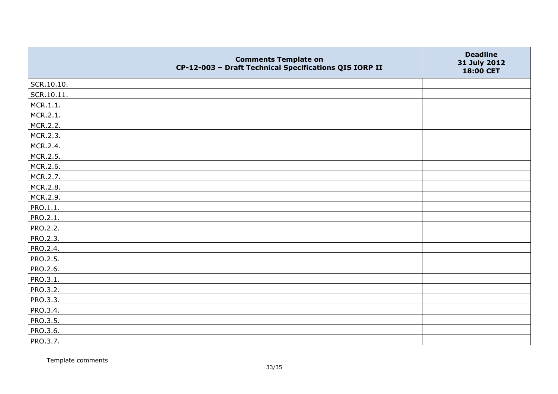|                 | <b>Comments Template on</b><br>CP-12-003 - Draft Technical Specifications QIS IORP II | <b>Deadline</b><br>31 July 2012<br>18:00 CET |
|-----------------|---------------------------------------------------------------------------------------|----------------------------------------------|
| SCR.10.10.      |                                                                                       |                                              |
| SCR.10.11.      |                                                                                       |                                              |
| MCR.1.1.        |                                                                                       |                                              |
| MCR.2.1.        |                                                                                       |                                              |
| MCR.2.2.        |                                                                                       |                                              |
| MCR.2.3.        |                                                                                       |                                              |
| MCR.2.4.        |                                                                                       |                                              |
| MCR.2.5.        |                                                                                       |                                              |
| MCR.2.6.        |                                                                                       |                                              |
| MCR.2.7.        |                                                                                       |                                              |
| MCR.2.8.        |                                                                                       |                                              |
| MCR.2.9.        |                                                                                       |                                              |
| PRO.1.1.        |                                                                                       |                                              |
| PRO.2.1.        |                                                                                       |                                              |
| PRO.2.2.        |                                                                                       |                                              |
| PRO.2.3.        |                                                                                       |                                              |
| PRO.2.4.        |                                                                                       |                                              |
| PRO.2.5.        |                                                                                       |                                              |
| PRO.2.6.        |                                                                                       |                                              |
| PRO.3.1.        |                                                                                       |                                              |
| PRO.3.2.        |                                                                                       |                                              |
| <b>PRO.3.3.</b> |                                                                                       |                                              |
| PRO.3.4.        |                                                                                       |                                              |
| PRO.3.5.        |                                                                                       |                                              |
| PRO.3.6.        |                                                                                       |                                              |
| PRO.3.7.        |                                                                                       |                                              |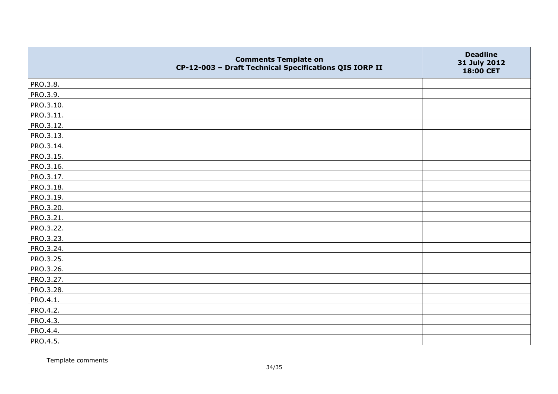|           | <b>Comments Template on</b><br>CP-12-003 - Draft Technical Specifications QIS IORP II | <b>Deadline</b><br>31 July 2012<br>18:00 CET |
|-----------|---------------------------------------------------------------------------------------|----------------------------------------------|
| PRO.3.8.  |                                                                                       |                                              |
| PRO.3.9.  |                                                                                       |                                              |
| PRO.3.10. |                                                                                       |                                              |
| PRO.3.11. |                                                                                       |                                              |
| PRO.3.12. |                                                                                       |                                              |
| PRO.3.13. |                                                                                       |                                              |
| PRO.3.14. |                                                                                       |                                              |
| PRO.3.15. |                                                                                       |                                              |
| PRO.3.16. |                                                                                       |                                              |
| PRO.3.17. |                                                                                       |                                              |
| PRO.3.18. |                                                                                       |                                              |
| PRO.3.19. |                                                                                       |                                              |
| PRO.3.20. |                                                                                       |                                              |
| PRO.3.21. |                                                                                       |                                              |
| PRO.3.22. |                                                                                       |                                              |
| PRO.3.23. |                                                                                       |                                              |
| PRO.3.24. |                                                                                       |                                              |
| PRO.3.25. |                                                                                       |                                              |
| PRO.3.26. |                                                                                       |                                              |
| PRO.3.27. |                                                                                       |                                              |
| PRO.3.28. |                                                                                       |                                              |
| PRO.4.1.  |                                                                                       |                                              |
| PRO.4.2.  |                                                                                       |                                              |
| PRO.4.3.  |                                                                                       |                                              |
| PRO.4.4.  |                                                                                       |                                              |
| PRO.4.5.  |                                                                                       |                                              |